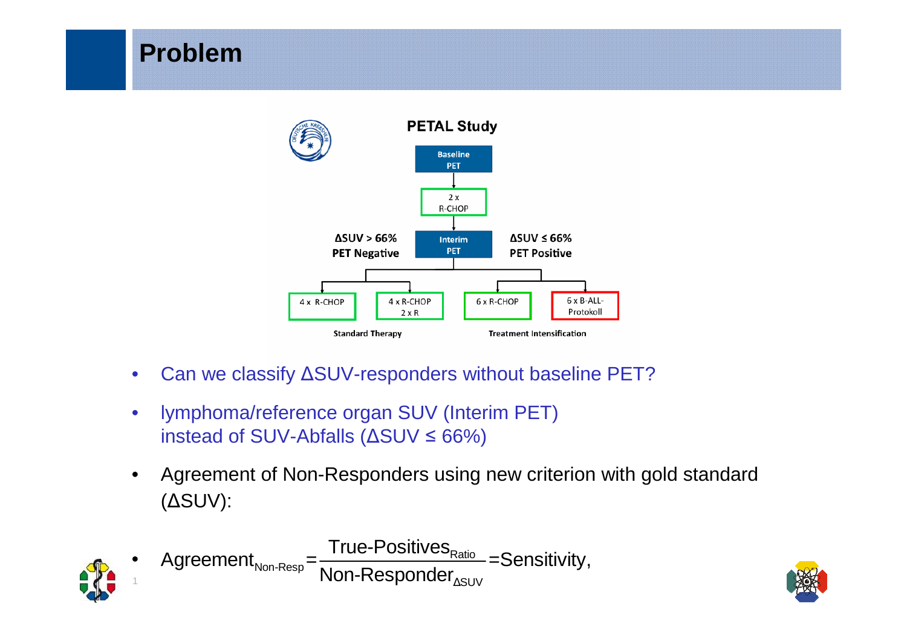

- $\bullet$ Can we classify ΔSUV-responders without baseline PET?
- • lymphoma/reference organ SUV (Interim PET)instead of SUV-Abfalls (ΔSUV <sup>≤</sup> 66%)

**Problem**

• Agreement of Non-Responders using new criterion with gold standard (ΔSUV):



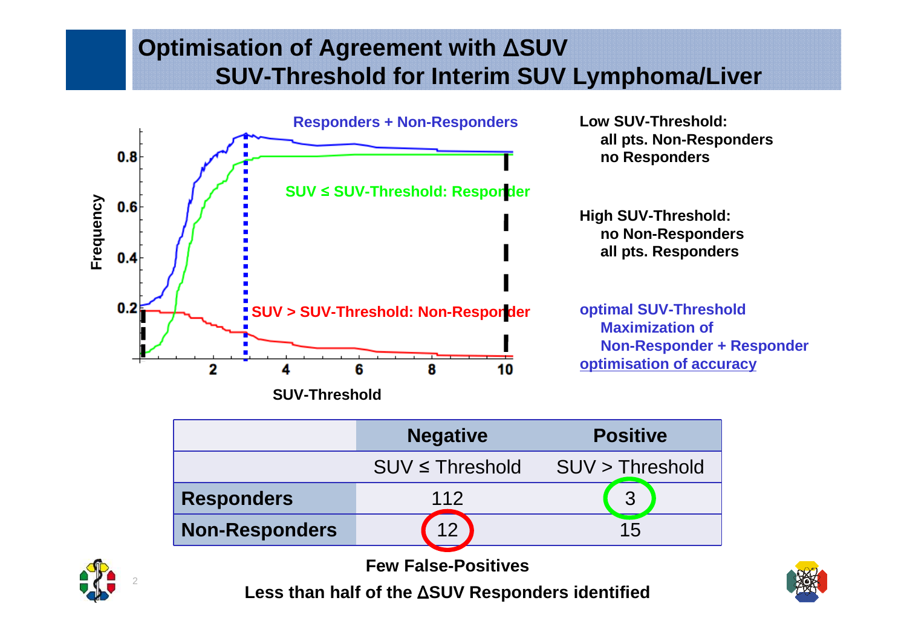## **Optimisation of Agreement with** Δ**SUVSUV-Threshold for Interim SUV Lymphoma/Liver**



|                            | <b>Negative</b>      | <b>Positive</b> |
|----------------------------|----------------------|-----------------|
|                            | $SUV \leq$ Threshold | SUV > Threshold |
| <b>Responders</b>          | 112                  | 3               |
| <b>Non-Responders</b>      | 12 <sup>1</sup>      | 15              |
| <b>Few False-Positives</b> |                      |                 |



2

**Less than half of the** Δ**SUV Responders identified**

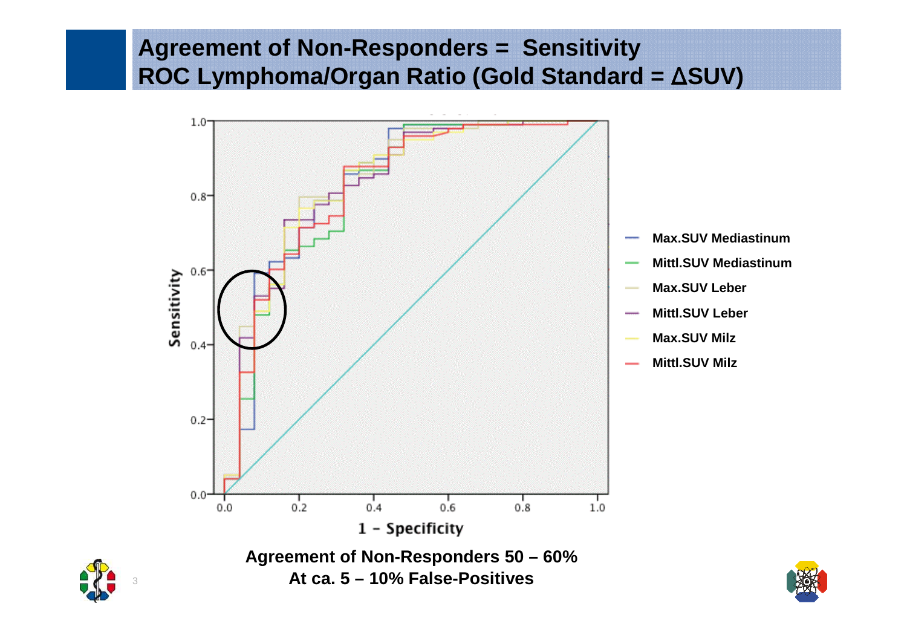## **Agreement of Non-Responders = SensitivityROC Lymphoma/Organ Ratio (Gold Standard =** Δ**SUV)**





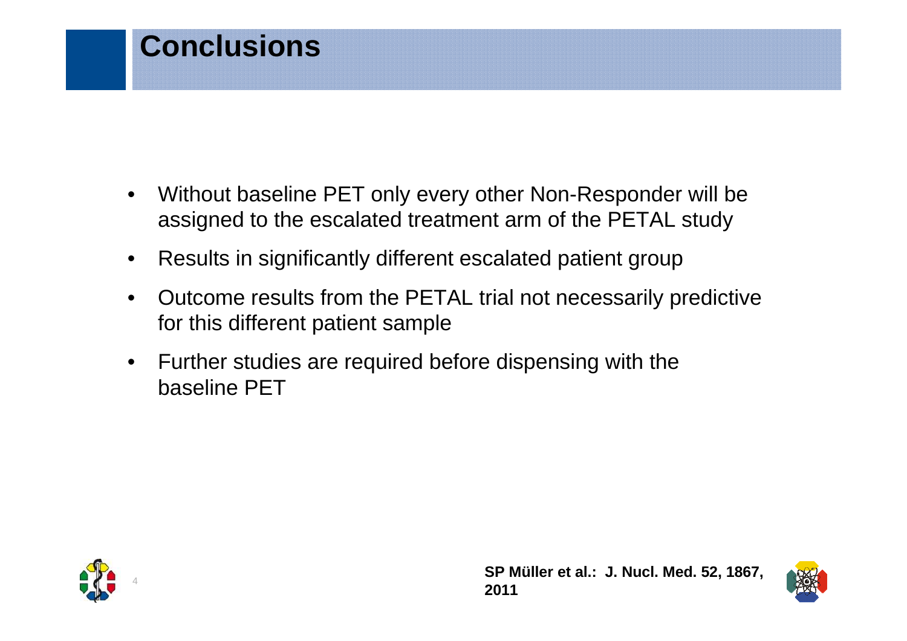## **Conclusions**

- • Without baseline PET only every other Non-Responder will be assigned to the escalated treatment arm of the PETAL study
- $\bullet$ Results in significantly different escalated patient group
- • Outcome results from the PETAL trial not necessarily predictive for this different patient sample
- $\bullet$  Further studies are required before dispensing with the baseline PET



**SP Müller et al.: J. Nucl. Med. 52, 1867, 2011**